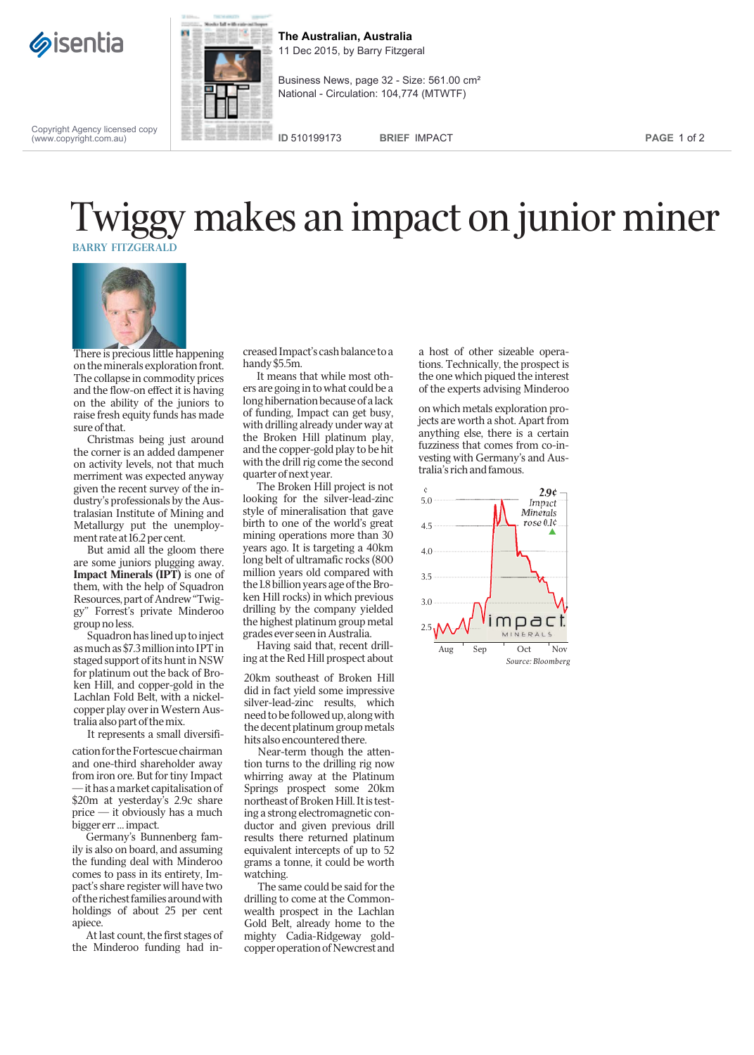



**The Australian, Australia** 11 Dec 2015, by Barry Fitzgeral

Business News, page 32 - Size: 561.00 cm² National - Circulation: 104,774 (MTWTF)

Copyright Agency licensed copy (www.copyright.com.au)

**ID** 510199173 **BRIEF** IMPACT **PAGE** 1 of 2

## BARRY FITZGERALD Twiggy makes an impact on junior miner



There is precious little happening on the minerals exploration front. The collapse in commodity prices and the flow-on effect it is having on the ability of the juniors to raise fresh equity funds has made sure of that.

Christmas being just around the corner is an added dampener on activity levels, not that much merriment was expected anyway given the recent survey of the industry's professionals by the Australasian Institute of Mining and Metallurgy put the unemployment rate at 16.2 per cent.

But amid all the gloom there are some juniors plugging away. Impact Minerals (IPT) is one of them, with the help of Squadron Resources, part of Andrew "Twiggy" Forrest's private Minderoo group no less.

Squadron has lined up to inject as much as \$7.3 million into IPT in staged support of its hunt in NSW for platinum out the back of Broken Hill, and copper-gold in the Lachlan Fold Belt, with a nickelcopper play over in Western Australia also part of the mix.

It represents a small diversifi-

cation for the Fortescue chairman and one-third shareholder away from iron ore. But for tiny Impact — it has a market capitalisation of \$20m at yesterday's 2.9c share price — it obviously has a much bigger err … impact.

Germany's Bunnenberg family is also on board, and assuming the funding deal with Minderoo comes to pass in its entirety, Impact's share register will have two of the richest families around with holdings of about 25 per cent apiece.

At last count, the first stages of the Minderoo funding had in-

creased Impact's cash balance to a handy \$5.5m.

It means that while most others are going in to what could be a long hibernation because of a lack of funding, Impact can get busy, with drilling already under way at the Broken Hill platinum play, and the copper-gold play to be hit with the drill rig come the second quarter of next year.

The Broken Hill project is not looking for the silver-lead-zinc style of mineralisation that gave birth to one of the world's great mining operations more than 30 years ago. It is targeting a 40km long belt of ultramafic rocks (800 million years old compared with the 1.8 billion years age of the Broken Hill rocks) in which previous drilling by the company yielded the highest platinum group metal grades ever seen in Australia.

Having said that, recent drilling at the Red Hill prospect about

20km southeast of Broken Hill did in fact yield some impressive silver-lead-zinc results, which need to be followed up, along with the decent platinum group metals hits also encountered there.

Near-term though the attention turns to the drilling rig now whirring away at the Platinum Springs prospect some 20km northeast of Broken Hill. It is testing a strong electromagnetic conductor and given previous drill results there returned platinum equivalent intercepts of up to 52 grams a tonne, it could be worth watching.

The same could be said for the drilling to come at the Commonwealth prospect in the Lachlan Gold Belt, already home to the mighty Cadia-Ridgeway goldcopper operation of Newcrest and

a host of other sizeable operations. Technically, the prospect is the one which piqued the interest of the experts advising Minderoo

on which metals exploration projects are worth a shot. Apart from anything else, there is a certain fuzziness that comes from co-investing with Germany's and Australia's rich and famous.